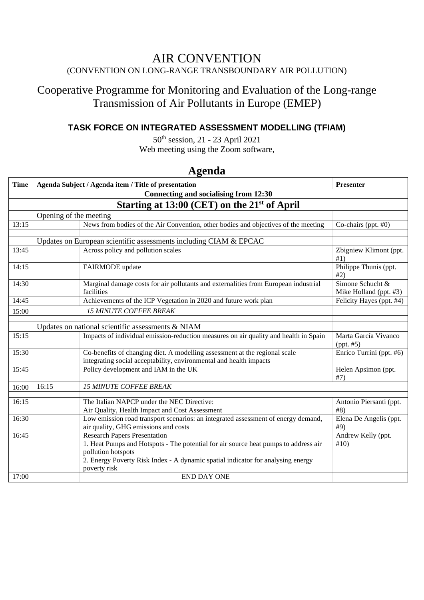#### AIR CONVENTION (CONVENTION ON LONG-RANGE TRANSBOUNDARY AIR POLLUTION)

## Cooperative Programme for Monitoring and Evaluation of the Long-range Transmission of Air Pollutants in Europe (EMEP)

#### **TASK FORCE ON INTEGRATED ASSESSMENT MODELLING (TFIAM)**

50th session, 21 - 23 April 2021 Web meeting using the Zoom software,

| Connecting and socialising from 12:30<br>Starting at 13:00 (CET) on the 21 <sup>st</sup> of April<br>Opening of the meeting<br>13:15<br>News from bodies of the Air Convention, other bodies and objectives of the meeting<br>Co-chairs (ppt. #0)<br>Updates on European scientific assessments including CIAM & EPCAC<br>Across policy and pollution scales<br>13:45<br>Zbigniew Klimont (ppt.<br>#1)<br>Philippe Thunis (ppt.<br>14:15<br>FAIRMODE update<br>#2)<br>$\overline{\text{Simon}}$ Schucht &<br>14:30<br>Marginal damage costs for air pollutants and externalities from European industrial<br>facilities<br>Mike Holland (ppt. #3)<br>Achievements of the ICP Vegetation in 2020 and future work plan<br>14:45<br>Felicity Hayes (ppt. #4)<br><b>15 MINUTE COFFEE BREAK</b><br>15:00<br>Updates on national scientific assessments & NIAM<br>Impacts of individual emission-reduction measures on air quality and health in Spain<br>15:15<br>Marta García Vivanco<br>(ppt. #5)<br>Enrico Turrini (ppt. #6)<br>Co-benefits of changing diet. A modelling assessment at the regional scale<br>15:30<br>integrating social acceptability, environmental and health impacts<br>Policy development and IAM in the UK<br>15:45<br>Helen Apsimon (ppt.<br>#7)<br>16:15<br><b>15 MINUTE COFFEE BREAK</b><br>16:00<br>The Italian NAPCP under the NEC Directive:<br>16:15<br>Antonio Piersanti (ppt.<br>#8)<br>Air Quality, Health Impact and Cost Assessment<br>16:30<br>Low emission road transport scenarios: an integrated assessment of energy demand,<br>Elena De Angelis (ppt.<br>air quality, GHG emissions and costs<br>#9)<br><b>Research Papers Presentation</b><br>Andrew Kelly (ppt.<br>16:45<br>1. Heat Pumps and Hotspots - The potential for air source heat pumps to address air<br>#10)<br>pollution hotspots<br>2. Energy Poverty Risk Index - A dynamic spatial indicator for analysing energy<br>poverty risk | <b>Time</b> |  | Agenda Subject / Agenda item / Title of presentation | Presenter |  |  |  |
|-------------------------------------------------------------------------------------------------------------------------------------------------------------------------------------------------------------------------------------------------------------------------------------------------------------------------------------------------------------------------------------------------------------------------------------------------------------------------------------------------------------------------------------------------------------------------------------------------------------------------------------------------------------------------------------------------------------------------------------------------------------------------------------------------------------------------------------------------------------------------------------------------------------------------------------------------------------------------------------------------------------------------------------------------------------------------------------------------------------------------------------------------------------------------------------------------------------------------------------------------------------------------------------------------------------------------------------------------------------------------------------------------------------------------------------------------------------------------------------------------------------------------------------------------------------------------------------------------------------------------------------------------------------------------------------------------------------------------------------------------------------------------------------------------------------------------------------------------------------------------------------------------------------------------------------------|-------------|--|------------------------------------------------------|-----------|--|--|--|
|                                                                                                                                                                                                                                                                                                                                                                                                                                                                                                                                                                                                                                                                                                                                                                                                                                                                                                                                                                                                                                                                                                                                                                                                                                                                                                                                                                                                                                                                                                                                                                                                                                                                                                                                                                                                                                                                                                                                           |             |  |                                                      |           |  |  |  |
|                                                                                                                                                                                                                                                                                                                                                                                                                                                                                                                                                                                                                                                                                                                                                                                                                                                                                                                                                                                                                                                                                                                                                                                                                                                                                                                                                                                                                                                                                                                                                                                                                                                                                                                                                                                                                                                                                                                                           |             |  |                                                      |           |  |  |  |
|                                                                                                                                                                                                                                                                                                                                                                                                                                                                                                                                                                                                                                                                                                                                                                                                                                                                                                                                                                                                                                                                                                                                                                                                                                                                                                                                                                                                                                                                                                                                                                                                                                                                                                                                                                                                                                                                                                                                           |             |  |                                                      |           |  |  |  |
|                                                                                                                                                                                                                                                                                                                                                                                                                                                                                                                                                                                                                                                                                                                                                                                                                                                                                                                                                                                                                                                                                                                                                                                                                                                                                                                                                                                                                                                                                                                                                                                                                                                                                                                                                                                                                                                                                                                                           |             |  |                                                      |           |  |  |  |
|                                                                                                                                                                                                                                                                                                                                                                                                                                                                                                                                                                                                                                                                                                                                                                                                                                                                                                                                                                                                                                                                                                                                                                                                                                                                                                                                                                                                                                                                                                                                                                                                                                                                                                                                                                                                                                                                                                                                           |             |  |                                                      |           |  |  |  |
|                                                                                                                                                                                                                                                                                                                                                                                                                                                                                                                                                                                                                                                                                                                                                                                                                                                                                                                                                                                                                                                                                                                                                                                                                                                                                                                                                                                                                                                                                                                                                                                                                                                                                                                                                                                                                                                                                                                                           |             |  |                                                      |           |  |  |  |
|                                                                                                                                                                                                                                                                                                                                                                                                                                                                                                                                                                                                                                                                                                                                                                                                                                                                                                                                                                                                                                                                                                                                                                                                                                                                                                                                                                                                                                                                                                                                                                                                                                                                                                                                                                                                                                                                                                                                           |             |  |                                                      |           |  |  |  |
|                                                                                                                                                                                                                                                                                                                                                                                                                                                                                                                                                                                                                                                                                                                                                                                                                                                                                                                                                                                                                                                                                                                                                                                                                                                                                                                                                                                                                                                                                                                                                                                                                                                                                                                                                                                                                                                                                                                                           |             |  |                                                      |           |  |  |  |
|                                                                                                                                                                                                                                                                                                                                                                                                                                                                                                                                                                                                                                                                                                                                                                                                                                                                                                                                                                                                                                                                                                                                                                                                                                                                                                                                                                                                                                                                                                                                                                                                                                                                                                                                                                                                                                                                                                                                           |             |  |                                                      |           |  |  |  |
|                                                                                                                                                                                                                                                                                                                                                                                                                                                                                                                                                                                                                                                                                                                                                                                                                                                                                                                                                                                                                                                                                                                                                                                                                                                                                                                                                                                                                                                                                                                                                                                                                                                                                                                                                                                                                                                                                                                                           |             |  |                                                      |           |  |  |  |
|                                                                                                                                                                                                                                                                                                                                                                                                                                                                                                                                                                                                                                                                                                                                                                                                                                                                                                                                                                                                                                                                                                                                                                                                                                                                                                                                                                                                                                                                                                                                                                                                                                                                                                                                                                                                                                                                                                                                           |             |  |                                                      |           |  |  |  |
|                                                                                                                                                                                                                                                                                                                                                                                                                                                                                                                                                                                                                                                                                                                                                                                                                                                                                                                                                                                                                                                                                                                                                                                                                                                                                                                                                                                                                                                                                                                                                                                                                                                                                                                                                                                                                                                                                                                                           |             |  |                                                      |           |  |  |  |
|                                                                                                                                                                                                                                                                                                                                                                                                                                                                                                                                                                                                                                                                                                                                                                                                                                                                                                                                                                                                                                                                                                                                                                                                                                                                                                                                                                                                                                                                                                                                                                                                                                                                                                                                                                                                                                                                                                                                           |             |  |                                                      |           |  |  |  |
|                                                                                                                                                                                                                                                                                                                                                                                                                                                                                                                                                                                                                                                                                                                                                                                                                                                                                                                                                                                                                                                                                                                                                                                                                                                                                                                                                                                                                                                                                                                                                                                                                                                                                                                                                                                                                                                                                                                                           |             |  |                                                      |           |  |  |  |
|                                                                                                                                                                                                                                                                                                                                                                                                                                                                                                                                                                                                                                                                                                                                                                                                                                                                                                                                                                                                                                                                                                                                                                                                                                                                                                                                                                                                                                                                                                                                                                                                                                                                                                                                                                                                                                                                                                                                           |             |  |                                                      |           |  |  |  |
|                                                                                                                                                                                                                                                                                                                                                                                                                                                                                                                                                                                                                                                                                                                                                                                                                                                                                                                                                                                                                                                                                                                                                                                                                                                                                                                                                                                                                                                                                                                                                                                                                                                                                                                                                                                                                                                                                                                                           |             |  |                                                      |           |  |  |  |
|                                                                                                                                                                                                                                                                                                                                                                                                                                                                                                                                                                                                                                                                                                                                                                                                                                                                                                                                                                                                                                                                                                                                                                                                                                                                                                                                                                                                                                                                                                                                                                                                                                                                                                                                                                                                                                                                                                                                           |             |  |                                                      |           |  |  |  |
|                                                                                                                                                                                                                                                                                                                                                                                                                                                                                                                                                                                                                                                                                                                                                                                                                                                                                                                                                                                                                                                                                                                                                                                                                                                                                                                                                                                                                                                                                                                                                                                                                                                                                                                                                                                                                                                                                                                                           |             |  |                                                      |           |  |  |  |
|                                                                                                                                                                                                                                                                                                                                                                                                                                                                                                                                                                                                                                                                                                                                                                                                                                                                                                                                                                                                                                                                                                                                                                                                                                                                                                                                                                                                                                                                                                                                                                                                                                                                                                                                                                                                                                                                                                                                           |             |  |                                                      |           |  |  |  |
|                                                                                                                                                                                                                                                                                                                                                                                                                                                                                                                                                                                                                                                                                                                                                                                                                                                                                                                                                                                                                                                                                                                                                                                                                                                                                                                                                                                                                                                                                                                                                                                                                                                                                                                                                                                                                                                                                                                                           |             |  |                                                      |           |  |  |  |
|                                                                                                                                                                                                                                                                                                                                                                                                                                                                                                                                                                                                                                                                                                                                                                                                                                                                                                                                                                                                                                                                                                                                                                                                                                                                                                                                                                                                                                                                                                                                                                                                                                                                                                                                                                                                                                                                                                                                           |             |  |                                                      |           |  |  |  |
|                                                                                                                                                                                                                                                                                                                                                                                                                                                                                                                                                                                                                                                                                                                                                                                                                                                                                                                                                                                                                                                                                                                                                                                                                                                                                                                                                                                                                                                                                                                                                                                                                                                                                                                                                                                                                                                                                                                                           |             |  |                                                      |           |  |  |  |
|                                                                                                                                                                                                                                                                                                                                                                                                                                                                                                                                                                                                                                                                                                                                                                                                                                                                                                                                                                                                                                                                                                                                                                                                                                                                                                                                                                                                                                                                                                                                                                                                                                                                                                                                                                                                                                                                                                                                           |             |  |                                                      |           |  |  |  |
|                                                                                                                                                                                                                                                                                                                                                                                                                                                                                                                                                                                                                                                                                                                                                                                                                                                                                                                                                                                                                                                                                                                                                                                                                                                                                                                                                                                                                                                                                                                                                                                                                                                                                                                                                                                                                                                                                                                                           |             |  |                                                      |           |  |  |  |
|                                                                                                                                                                                                                                                                                                                                                                                                                                                                                                                                                                                                                                                                                                                                                                                                                                                                                                                                                                                                                                                                                                                                                                                                                                                                                                                                                                                                                                                                                                                                                                                                                                                                                                                                                                                                                                                                                                                                           |             |  |                                                      |           |  |  |  |
|                                                                                                                                                                                                                                                                                                                                                                                                                                                                                                                                                                                                                                                                                                                                                                                                                                                                                                                                                                                                                                                                                                                                                                                                                                                                                                                                                                                                                                                                                                                                                                                                                                                                                                                                                                                                                                                                                                                                           |             |  |                                                      |           |  |  |  |
| 17:00<br><b>END DAY ONE</b>                                                                                                                                                                                                                                                                                                                                                                                                                                                                                                                                                                                                                                                                                                                                                                                                                                                                                                                                                                                                                                                                                                                                                                                                                                                                                                                                                                                                                                                                                                                                                                                                                                                                                                                                                                                                                                                                                                               |             |  |                                                      |           |  |  |  |

### **Agenda**